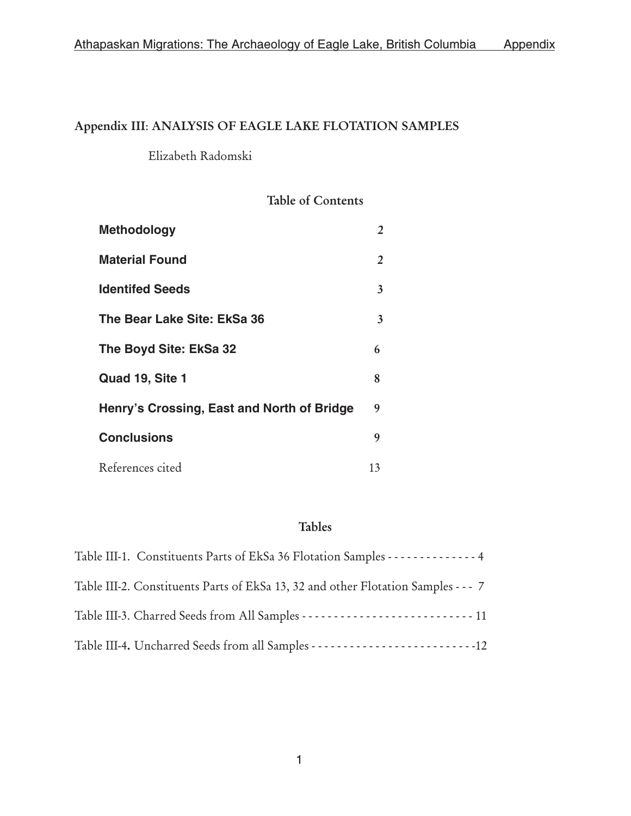# Appendix III: ANALYSIS OF EAGLE LAKE FLOTATION SAMPLES

Elizabeth Radomski

# Table of Contents

| <b>Methodology</b>                         | 2  |
|--------------------------------------------|----|
| <b>Material Found</b>                      | 2  |
| <b>Identifed Seeds</b>                     | 3  |
| The Bear Lake Site: EkSa 36                | 3  |
| The Boyd Site: EkSa 32                     | 6  |
| Quad 19, Site 1                            | 8  |
| Henry's Crossing, East and North of Bridge | 9  |
| <b>Conclusions</b>                         | 9  |
| References cited                           | 13 |

# Tables

| Table III-1. Constituents Parts of EkSa 36 Flotation Samples - - - - - - - - - - - - - 4 |
|------------------------------------------------------------------------------------------|
| Table III-2. Constituents Parts of EkSa 13, 32 and other Flotation Samples - - - 7       |
|                                                                                          |
|                                                                                          |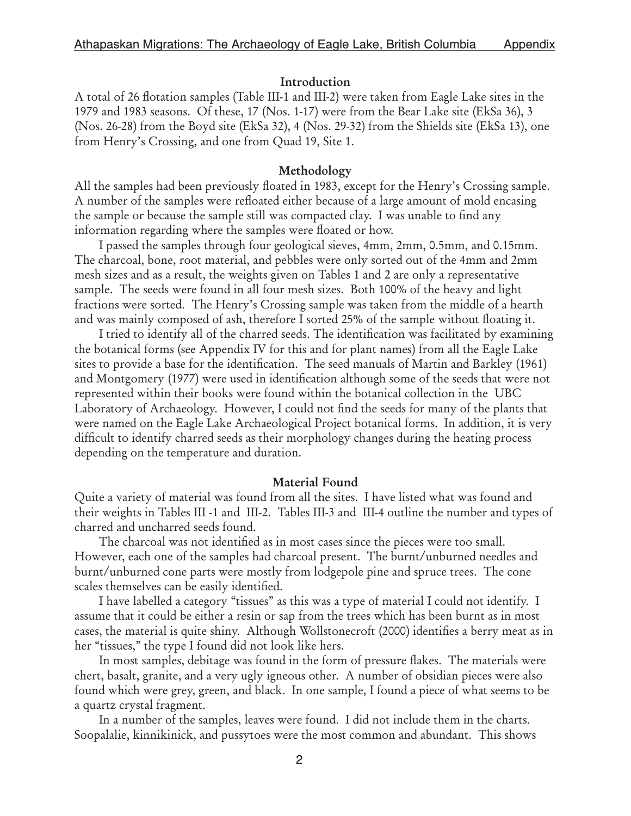#### Introduction

A total of 26 flotation samples (Table III-1 and III-2) were taken from Eagle Lake sites in the 1979 and 1983 seasons. Of these, 17 (Nos. 1-17) were from the Bear Lake site (EkSa 36), 3 (Nos. 26-28) from the Boyd site (EkSa 32), 4 (Nos. 29-32) from the Shields site (EkSa 13), one from Henry's Crossing, and one from Quad 19, Site 1.

#### Methodology

All the samples had been previously floated in 1983, except for the Henry's Crossing sample. A number of the samples were refloated either because of a large amount of mold encasing the sample or because the sample still was compacted clay. I was unable to find any information regarding where the samples were floated or how.

I passed the samples through four geological sieves, 4mm, 2mm, 0.5mm, and 0.15mm. The charcoal, bone, root material, and pebbles were only sorted out of the 4mm and 2mm mesh sizes and as a result, the weights given on Tables 1 and 2 are only a representative sample. The seeds were found in all four mesh sizes. Both 100% of the heavy and light fractions were sorted. The Henry's Crossing sample was taken from the middle of a hearth and was mainly composed of ash, therefore I sorted 25% of the sample without floating it.

I tried to identify all of the charred seeds. The identification was facilitated by examining the botanical forms (see Appendix IV for this and for plant names) from all the Eagle Lake sites to provide a base for the identification. The seed manuals of Martin and Barkley (1961) and Montgomery (1977) were used in identification although some of the seeds that were not represented within their books were found within the botanical collection in the UBC Laboratory of Archaeology. However, I could not find the seeds for many of the plants that were named on the Eagle Lake Archaeological Project botanical forms. In addition, it is very difficult to identify charred seeds as their morphology changes during the heating process depending on the temperature and duration.

#### Material Found

Quite a variety of material was found from all the sites. I have listed what was found and their weights in Tables III -1 and III-2. Tables III-3 and III-4 outline the number and types of charred and uncharred seeds found.

The charcoal was not identified as in most cases since the pieces were too small. However, each one of the samples had charcoal present. The burnt/unburned needles and burnt/unburned cone parts were mostly from lodgepole pine and spruce trees. The cone scales themselves can be easily identified.

I have labelled a category "tissues" as this was a type of material I could not identify. I assume that it could be either a resin or sap from the trees which has been burnt as in most cases, the material is quite shiny. Although Wollstonecroft (2000) identifies a berry meat as in her "tissues," the type I found did not look like hers.

In most samples, debitage was found in the form of pressure flakes. The materials were chert, basalt, granite, and a very ugly igneous other. A number of obsidian pieces were also found which were grey, green, and black. In one sample, I found a piece of what seems to be a quartz crystal fragment.

In a number of the samples, leaves were found. I did not include them in the charts. Soopalalie, kinnikinick, and pussytoes were the most common and abundant. This shows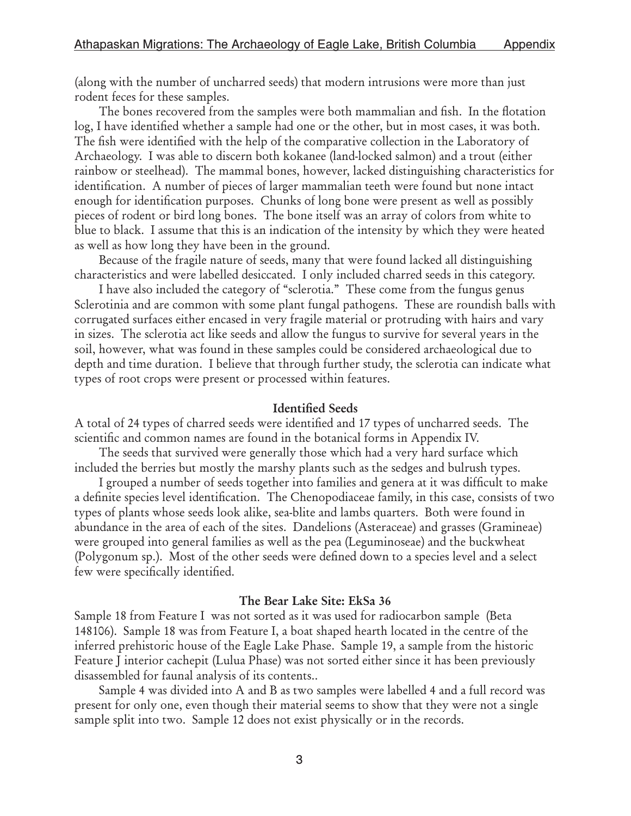(along with the number of uncharred seeds) that modern intrusions were more than just rodent feces for these samples.

The bones recovered from the samples were both mammalian and fish. In the flotation log, I have identified whether a sample had one or the other, but in most cases, it was both. The fish were identified with the help of the comparative collection in the Laboratory of Archaeology. I was able to discern both kokanee (land-locked salmon) and a trout (either rainbow or steelhead). The mammal bones, however, lacked distinguishing characteristics for identification. A number of pieces of larger mammalian teeth were found but none intact enough for identification purposes. Chunks of long bone were present as well as possibly pieces of rodent or bird long bones. The bone itself was an array of colors from white to blue to black. I assume that this is an indication of the intensity by which they were heated as well as how long they have been in the ground.

Because of the fragile nature of seeds, many that were found lacked all distinguishing characteristics and were labelled desiccated. I only included charred seeds in this category.

I have also included the category of "sclerotia." These come from the fungus genus Sclerotinia and are common with some plant fungal pathogens. These are roundish balls with corrugated surfaces either encased in very fragile material or protruding with hairs and vary in sizes. The sclerotia act like seeds and allow the fungus to survive for several years in the soil, however, what was found in these samples could be considered archaeological due to depth and time duration. I believe that through further study, the sclerotia can indicate what types of root crops were present or processed within features.

#### Identified Seeds

A total of 24 types of charred seeds were identified and 17 types of uncharred seeds. The scientific and common names are found in the botanical forms in Appendix IV.

The seeds that survived were generally those which had a very hard surface which included the berries but mostly the marshy plants such as the sedges and bulrush types.

I grouped a number of seeds together into families and genera at it was difficult to make a definite species level identification. The Chenopodiaceae family, in this case, consists of two types of plants whose seeds look alike, sea-blite and lambs quarters. Both were found in abundance in the area of each of the sites. Dandelions (Asteraceae) and grasses (Gramineae) were grouped into general families as well as the pea (Leguminoseae) and the buckwheat (Polygonum sp.). Most of the other seeds were defined down to a species level and a select few were specifically identified.

#### The Bear Lake Site: EkSa 36

Sample 18 from Feature I was not sorted as it was used for radiocarbon sample (Beta 148106). Sample 18 was from Feature I, a boat shaped hearth located in the centre of the inferred prehistoric house of the Eagle Lake Phase. Sample 19, a sample from the historic Feature J interior cachepit (Lulua Phase) was not sorted either since it has been previously disassembled for faunal analysis of its contents..

Sample 4 was divided into A and B as two samples were labelled 4 and a full record was present for only one, even though their material seems to show that they were not a single sample split into two. Sample 12 does not exist physically or in the records.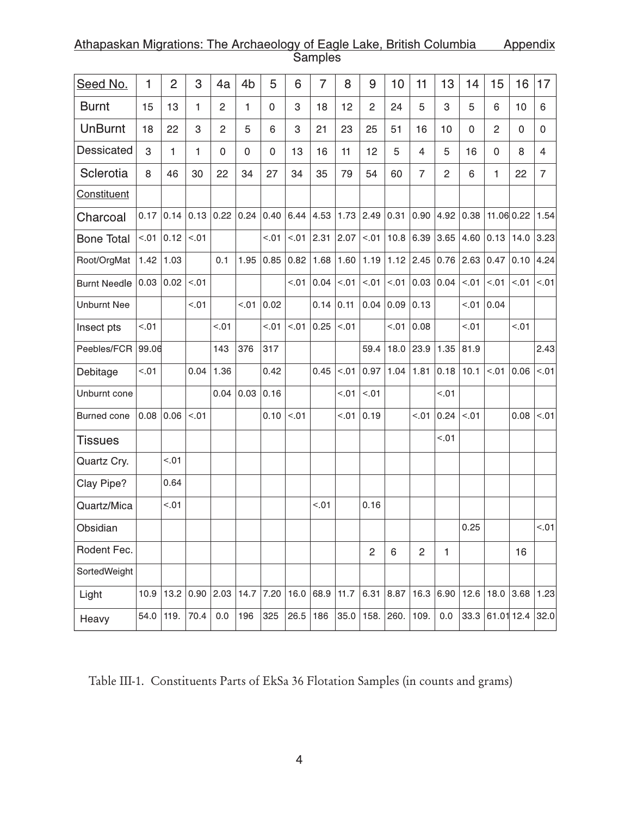## Athapaskan Migrations: The Archaeology of Eagle Lake, British Columbia Appendix Samples

| Seed No.           | 1     | $\overline{2}$ | 3      | 4a             | 4b          | 5           | 6                | $\overline{7}$ | 8     | 9              | 10          | 11                 | 13             | 14           | 15                     | 16          | 17             |
|--------------------|-------|----------------|--------|----------------|-------------|-------------|------------------|----------------|-------|----------------|-------------|--------------------|----------------|--------------|------------------------|-------------|----------------|
| <b>Burnt</b>       | 15    | 13             | 1      | $\overline{2}$ | 1           | $\mathsf 0$ | 3                | 18             | 12    | $\overline{2}$ | 24          | 5                  | 3              | 5            | 6                      | 10          | 6              |
| <b>UnBurnt</b>     | 18    | 22             | 3      | $\overline{c}$ | 5           | 6           | 3                | 21             | 23    | 25             | 51          | 16                 | 10             | $\mathbf{0}$ | $\overline{2}$         | $\mathbf 0$ | $\mathbf{0}$   |
| <b>Dessicated</b>  | 3     | 1              | 1      | 0              | $\mathsf 0$ | 0           | 13               | 16             | 11    | 12             | 5           | $\overline{4}$     | 5              | 16           | $\mathbf{0}$           | 8           | 4              |
| Sclerotia          | 8     | 46             | 30     | 22             | 34          | 27          | 34               | 35             | 79    | 54             | 60          | $\overline{7}$     | $\overline{2}$ | 6            | 1                      | 22          | $\overline{7}$ |
| Constituent        |       |                |        |                |             |             |                  |                |       |                |             |                    |                |              |                        |             |                |
| Charcoal           | 0.17  | 0.14           |        | 0.13   0.22    | 0.24        | 0.40        | $6.44$ 4.53 1.73 |                |       | 2.49           | 0.31 0.90   |                    |                |              | $4.92$ 0.38 11.06 0.22 |             | 1.54           |
| <b>Bone Total</b>  | < .01 | 0.12           | < .01  |                |             | < .01       | < .01            | 2.31           | 2.07  | 10.5           | 10.8        | 6.39               | 3.65           | 4.60         | 0.13                   | 14.0        | 3.23           |
| Root/OrgMat        | 1.42  | 1.03           |        | 0.1            | 1.95        | 0.85        | 0.82             | 1.68           | 1.60  | 1.19           | $1.12$ 2.45 |                    | 0.76           | 2.63         | 0.47                   | 0.10        | 4.24           |
| Burnt Needle 0.03  |       | 0.02           | < .01  |                |             |             | < .01            | 0.04           | < .01 | < .01          |             | $< 0.01$ 0.03 0.04 |                | < .01        | < .01                  | < .01       | < 01           |
| <b>Unburnt Nee</b> |       |                | < 0.01 |                | 10.5        | 0.02        |                  | $0.14$ 0.11    |       | 0.04           | $0.09$ 0.13 |                    |                | < 0.01       | 0.04                   |             |                |
| Insect pts         | < .01 |                |        | < 0.01         |             | < .01       | < .01            | 0.25           | < .01 |                | < .01       | 0.08               |                | < 0.01       |                        | < 0.01      |                |
| Peebles/FCR        | 99.06 |                |        | 143            | 376         | 317         |                  |                |       | 59.4           | 18.0        | 23.9               | 1.35           | 81.9         |                        |             | 2.43           |
| Debitage           | < .01 |                | 0.04   | 1.36           |             | 0.42        |                  | 0.45           | < .01 | 0.97           | 1.04        | 1.81               | 0.18           | 10.1         | < .01                  | 0.06        | 10.5           |
| Unburnt cone       |       |                |        | 0.04           | 0.03        | 0.16        |                  |                | < .01 | < .01          |             |                    | < .01          |              |                        |             |                |
| Burned cone        | 0.08  | 0.06           | < 0.01 |                |             | 0.10        | < .01            |                | < .01 | 0.19           |             | < 0.01             | 0.24           | < .01        |                        | 0.08        | < 01           |
| <b>Tissues</b>     |       |                |        |                |             |             |                  |                |       |                |             |                    | < 0.01         |              |                        |             |                |
| Quartz Cry.        |       | < .01          |        |                |             |             |                  |                |       |                |             |                    |                |              |                        |             |                |
| Clay Pipe?         |       | 0.64           |        |                |             |             |                  |                |       |                |             |                    |                |              |                        |             |                |
| Quartz/Mica        |       | < .01          |        |                |             |             |                  | < .01          |       | 0.16           |             |                    |                |              |                        |             |                |
| Obsidian           |       |                |        |                |             |             |                  |                |       |                |             |                    |                | 0.25         |                        |             | 10.5           |
| Rodent Fec.        |       |                |        |                |             |             |                  |                |       | $\overline{c}$ | 6           | $\overline{c}$     | $\mathbf{1}$   |              |                        | 16          |                |
| SortedWeight       |       |                |        |                |             |             |                  |                |       |                |             |                    |                |              |                        |             |                |
| Light              | 10.9  | 13.2           | 0.90   | 2.03           |             | 14.7 7.20   | 16.0             | 68.9           | 11.7  | 6.31           | 8.87        | 16.3               | 6.90           | 12.6         | 18.0                   | 3.68        | 1.23           |
| Heavy              | 54.0  | 119.           | 70.4   | 0.0            | 196         | 325         | 26.5             | 186            | 35.0  | 158.           | 260.        | 109.               | 0.0            | 33.3         | 61.01 12.4             |             | 32.0           |

Table III-1. Constituents Parts of EkSa 36 Flotation Samples (in counts and grams)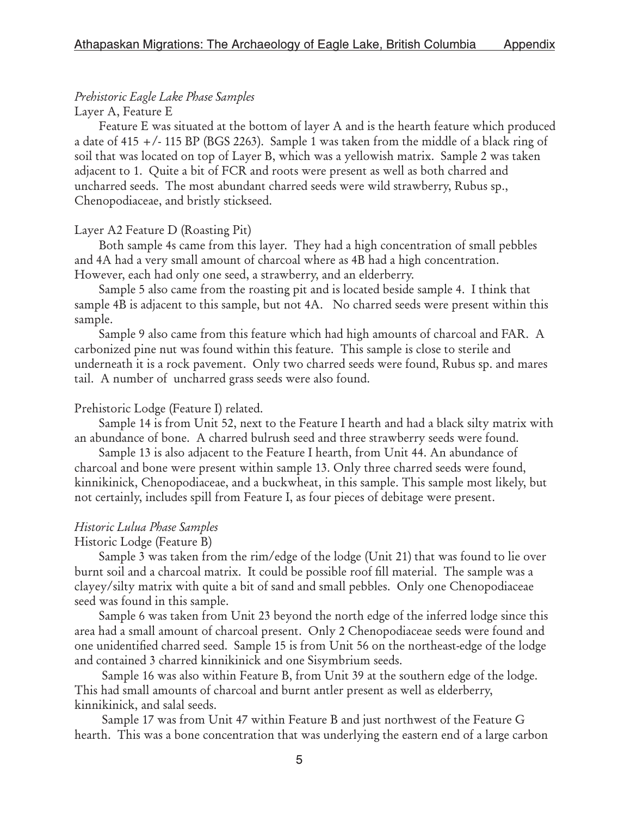# Prehistoric Eagle Lake Phase Samples

## Layer A, Feature E

Feature E was situated at the bottom of layer A and is the hearth feature which produced a date of 415  $+$ /-115 BP (BGS 2263). Sample 1 was taken from the middle of a black ring of soil that was located on top of Layer B, which was a yellowish matrix. Sample 2 was taken adjacent to 1. Quite a bit of FCR and roots were present as well as both charred and uncharred seeds. The most abundant charred seeds were wild strawberry, Rubus sp., Chenopodiaceae, and bristly stickseed.

## Layer A2 Feature D (Roasting Pit)

Both sample 4s came from this layer. They had a high concentration of small pebbles and 4A had a very small amount of charcoal where as 4B had a high concentration. However, each had only one seed, a strawberry, and an elderberry.

Sample 5 also came from the roasting pit and is located beside sample 4. I think that sample 4B is adjacent to this sample, but not 4A. No charred seeds were present within this sample.

Sample 9 also came from this feature which had high amounts of charcoal and FAR. A carbonized pine nut was found within this feature. This sample is close to sterile and underneath it is a rock pavement. Only two charred seeds were found, Rubus sp. and mares tail. A number of uncharred grass seeds were also found.

## Prehistoric Lodge (Feature I) related.

 Sample 14 is from Unit 52, next to the Feature I hearth and had a black silty matrix with an abundance of bone. A charred bulrush seed and three strawberry seeds were found.

Sample 13 is also adjacent to the Feature I hearth, from Unit 44. An abundance of charcoal and bone were present within sample 13. Only three charred seeds were found, kinnikinick, Chenopodiaceae, and a buckwheat, in this sample. This sample most likely, but not certainly, includes spill from Feature I, as four pieces of debitage were present.

# Historic Lulua Phase Samples

## Historic Lodge (Feature B)

Sample 3 was taken from the rim/edge of the lodge (Unit 21) that was found to lie over burnt soil and a charcoal matrix. It could be possible roof fill material. The sample was a clayey/silty matrix with quite a bit of sand and small pebbles. Only one Chenopodiaceae seed was found in this sample.

Sample 6 was taken from Unit 23 beyond the north edge of the inferred lodge since this area had a small amount of charcoal present. Only 2 Chenopodiaceae seeds were found and one unidentified charred seed. Sample 15 is from Unit 56 on the northeast-edge of the lodge and contained 3 charred kinnikinick and one Sisymbrium seeds.

 Sample 16 was also within Feature B, from Unit 39 at the southern edge of the lodge. This had small amounts of charcoal and burnt antler present as well as elderberry, kinnikinick, and salal seeds.

 Sample 17 was from Unit 47 within Feature B and just northwest of the Feature G hearth. This was a bone concentration that was underlying the eastern end of a large carbon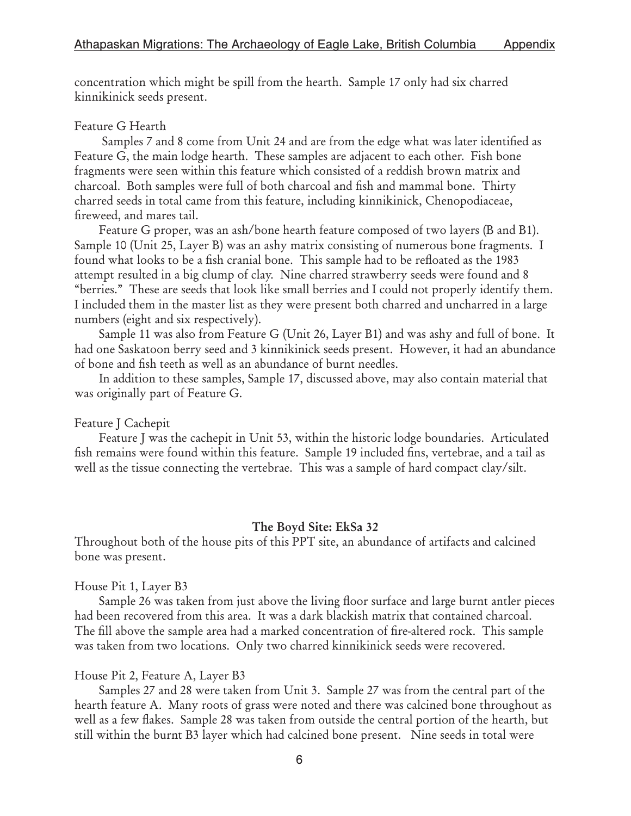concentration which might be spill from the hearth. Sample 17 only had six charred kinnikinick seeds present.

## Feature G Hearth

 Samples 7 and 8 come from Unit 24 and are from the edge what was later identified as Feature G, the main lodge hearth. These samples are adjacent to each other. Fish bone fragments were seen within this feature which consisted of a reddish brown matrix and charcoal. Both samples were full of both charcoal and fish and mammal bone. Thirty charred seeds in total came from this feature, including kinnikinick, Chenopodiaceae, fireweed, and mares tail.

Feature G proper, was an ash/bone hearth feature composed of two layers (B and B1). Sample 10 (Unit 25, Layer B) was an ashy matrix consisting of numerous bone fragments. I found what looks to be a fish cranial bone. This sample had to be refloated as the 1983 attempt resulted in a big clump of clay. Nine charred strawberry seeds were found and 8 "berries." These are seeds that look like small berries and I could not properly identify them. I included them in the master list as they were present both charred and uncharred in a large numbers (eight and six respectively).

Sample 11 was also from Feature G (Unit 26, Layer B1) and was ashy and full of bone. It had one Saskatoon berry seed and 3 kinnikinick seeds present. However, it had an abundance of bone and fish teeth as well as an abundance of burnt needles.

In addition to these samples, Sample 17, discussed above, may also contain material that was originally part of Feature G.

# Feature J Cachepit

Feature J was the cachepit in Unit 53, within the historic lodge boundaries. Articulated fish remains were found within this feature. Sample 19 included fins, vertebrae, and a tail as well as the tissue connecting the vertebrae. This was a sample of hard compact clay/silt.

# The Boyd Site: EkSa 32

Throughout both of the house pits of this PPT site, an abundance of artifacts and calcined bone was present.

# House Pit 1, Layer B3

Sample 26 was taken from just above the living floor surface and large burnt antler pieces had been recovered from this area. It was a dark blackish matrix that contained charcoal. The fill above the sample area had a marked concentration of fire-altered rock. This sample was taken from two locations. Only two charred kinnikinick seeds were recovered.

## House Pit 2, Feature A, Layer B3

Samples 27 and 28 were taken from Unit 3. Sample 27 was from the central part of the hearth feature A. Many roots of grass were noted and there was calcined bone throughout as well as a few flakes. Sample 28 was taken from outside the central portion of the hearth, but still within the burnt B3 layer which had calcined bone present. Nine seeds in total were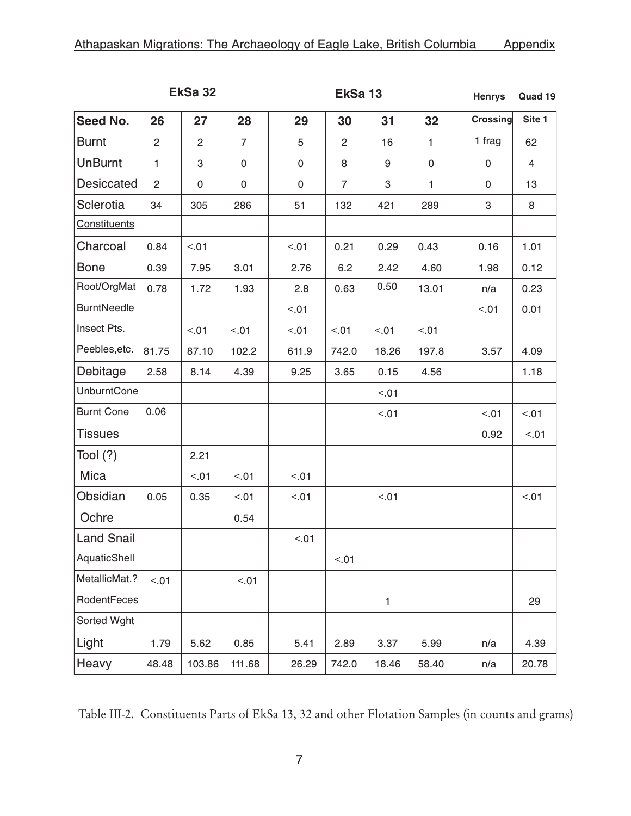|                    |                | EkSa 32        |                | EkSa 13 | <b>Henrys</b> | Quad 19        |       |              |  |           |        |
|--------------------|----------------|----------------|----------------|---------|---------------|----------------|-------|--------------|--|-----------|--------|
| Seed No.           | 26             | 27             | 28             |         | 29            | 30             | 31    | 32           |  | Crossing  | Site 1 |
| <b>Burnt</b>       | 2              | $\overline{2}$ | $\overline{7}$ |         | 5             | $\overline{2}$ | 16    | $\mathbf{1}$ |  | 1 frag    | 62     |
| <b>UnBurnt</b>     | $\mathbf{1}$   | 3              | 0              |         | 0             | 8              | 9     | $\pmb{0}$    |  | 0         | 4      |
| Desiccated         | $\overline{2}$ | 0              | $\pmb{0}$      |         | $\mathsf 0$   | $\overline{7}$ | 3     | $\mathbf{1}$ |  | $\pmb{0}$ | 13     |
| Sclerotia          | 34             | 305            | 286            |         | 51            | 132            | 421   | 289          |  | 3         | 8      |
| Constituents       |                |                |                |         |               |                |       |              |  |           |        |
| Charcoal           | 0.84           | < .01          |                |         | < .01         | 0.21           | 0.29  | 0.43         |  | 0.16      | 1.01   |
| <b>Bone</b>        | 0.39           | 7.95           | 3.01           |         | 2.76          | 6.2            | 2.42  | 4.60         |  | 1.98      | 0.12   |
| Root/OrgMat        | 0.78           | 1.72           | 1.93           |         | 2.8           | 0.63           | 0.50  | 13.01        |  | n/a       | 0.23   |
| <b>BurntNeedle</b> |                |                |                |         | < .01         |                |       |              |  | < 01      | 0.01   |
| Insect Pts.        |                | < 01           | < 01           |         | < .01         | < .01          | < 01  | < .01        |  |           |        |
| Peebles, etc.      | 81.75          | 87.10          | 102.2          |         | 611.9         | 742.0          | 18.26 | 197.8        |  | 3.57      | 4.09   |
| Debitage           | 2.58           | 8.14           | 4.39           |         | 9.25          | 3.65           | 0.15  | 4.56         |  |           | 1.18   |
| <b>UnburntCone</b> |                |                |                |         |               |                | < .01 |              |  |           |        |
| <b>Burnt Cone</b>  | 0.06           |                |                |         |               |                | < 01  |              |  | < 0.01    | < 01   |
| <b>Tissues</b>     |                |                |                |         |               |                |       |              |  | 0.92      | < 01   |
| Tool $(?)$         |                | 2.21           |                |         |               |                |       |              |  |           |        |
| Mica               |                | < 01           | < .01          |         | < .01         |                |       |              |  |           |        |
| Obsidian           | 0.05           | 0.35           | < .01          |         | < .01         |                | < .01 |              |  |           | < 0.01 |
| Ochre              |                |                | 0.54           |         |               |                |       |              |  |           |        |
| <b>Land Snail</b>  |                |                |                |         | < 01          |                |       |              |  |           |        |
| AquaticShell       |                |                |                |         |               | < .01          |       |              |  |           |        |
| MetallicMat.?      | < .01          |                | < .01          |         |               |                |       |              |  |           |        |
| RodentFeces        |                |                |                |         |               |                | 1     |              |  |           | 29     |
| Sorted Wght        |                |                |                |         |               |                |       |              |  |           |        |
| Light              | 1.79           | 5.62           | 0.85           |         | 5.41          | 2.89           | 3.37  | 5.99         |  | n/a       | 4.39   |
| Heavy              | 48.48          | 103.86         | 111.68         |         | 26.29         | 742.0          | 18.46 | 58.40        |  | n/a       | 20.78  |

Table III-2. Constituents Parts of EkSa 13, 32 and other Flotation Samples (in counts and grams)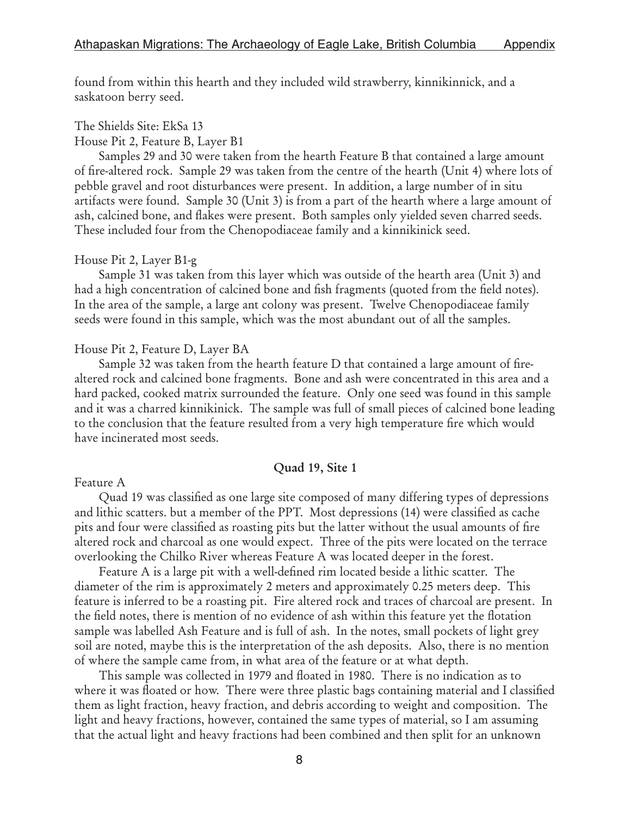found from within this hearth and they included wild strawberry, kinnikinnick, and a saskatoon berry seed.

# The Shields Site: EkSa 13

House Pit 2, Feature B, Layer B1

Samples 29 and 30 were taken from the hearth Feature B that contained a large amount of fire-altered rock. Sample 29 was taken from the centre of the hearth (Unit 4) where lots of pebble gravel and root disturbances were present. In addition, a large number of in situ artifacts were found. Sample 30 (Unit 3) is from a part of the hearth where a large amount of ash, calcined bone, and flakes were present. Both samples only yielded seven charred seeds. These included four from the Chenopodiaceae family and a kinnikinick seed.

### House Pit 2, Layer B1-g

Sample 31 was taken from this layer which was outside of the hearth area (Unit 3) and had a high concentration of calcined bone and fish fragments (quoted from the field notes). In the area of the sample, a large ant colony was present. Twelve Chenopodiaceae family seeds were found in this sample, which was the most abundant out of all the samples.

### House Pit 2, Feature D, Layer BA

Sample 32 was taken from the hearth feature D that contained a large amount of firealtered rock and calcined bone fragments. Bone and ash were concentrated in this area and a hard packed, cooked matrix surrounded the feature. Only one seed was found in this sample and it was a charred kinnikinick. The sample was full of small pieces of calcined bone leading to the conclusion that the feature resulted from a very high temperature fire which would have incinerated most seeds.

#### Quad 19, Site 1

## Feature A

Quad 19 was classified as one large site composed of many differing types of depressions and lithic scatters. but a member of the PPT. Most depressions (14) were classified as cache pits and four were classified as roasting pits but the latter without the usual amounts of fire altered rock and charcoal as one would expect. Three of the pits were located on the terrace overlooking the Chilko River whereas Feature A was located deeper in the forest.

Feature A is a large pit with a well-defined rim located beside a lithic scatter. The diameter of the rim is approximately 2 meters and approximately 0.25 meters deep. This feature is inferred to be a roasting pit. Fire altered rock and traces of charcoal are present. In the field notes, there is mention of no evidence of ash within this feature yet the flotation sample was labelled Ash Feature and is full of ash. In the notes, small pockets of light grey soil are noted, maybe this is the interpretation of the ash deposits. Also, there is no mention of where the sample came from, in what area of the feature or at what depth.

This sample was collected in 1979 and floated in 1980. There is no indication as to where it was floated or how. There were three plastic bags containing material and I classified them as light fraction, heavy fraction, and debris according to weight and composition. The light and heavy fractions, however, contained the same types of material, so I am assuming that the actual light and heavy fractions had been combined and then split for an unknown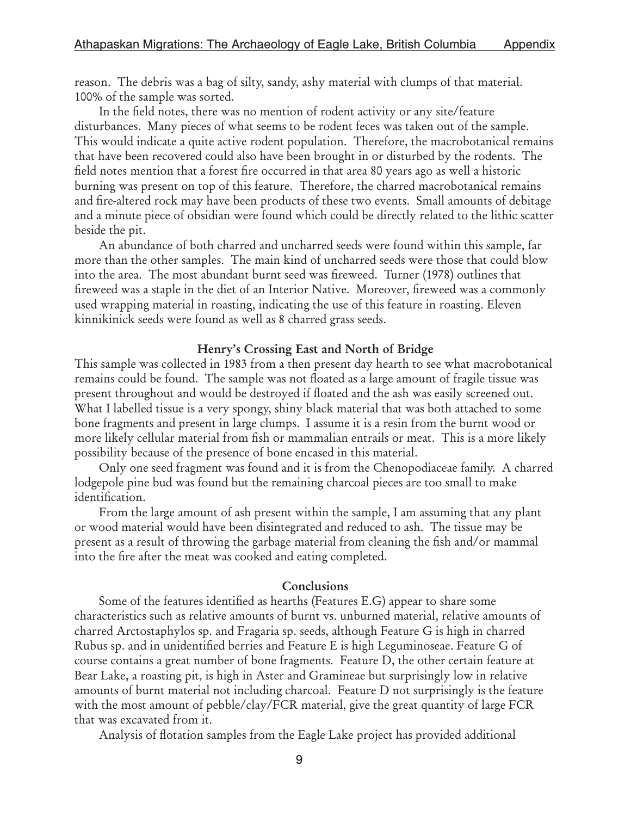reason. The debris was a bag of silty, sandy, ashy material with clumps of that material. 100% of the sample was sorted.

In the field notes, there was no mention of rodent activity or any site/feature disturbances. Many pieces of what seems to be rodent feces was taken out of the sample. This would indicate a quite active rodent population. Therefore, the macrobotanical remains that have been recovered could also have been brought in or disturbed by the rodents. The field notes mention that a forest fire occurred in that area 80 years ago as well a historic burning was present on top of this feature. Therefore, the charred macrobotanical remains and fire-altered rock may have been products of these two events. Small amounts of debitage and a minute piece of obsidian were found which could be directly related to the lithic scatter beside the pit.

An abundance of both charred and uncharred seeds were found within this sample, far more than the other samples. The main kind of uncharred seeds were those that could blow into the area. The most abundant burnt seed was fireweed. Turner (1978) outlines that fireweed was a staple in the diet of an Interior Native. Moreover, fireweed was a commonly used wrapping material in roasting, indicating the use of this feature in roasting. Eleven kinnikinick seeds were found as well as 8 charred grass seeds.

#### Henry's Crossing East and North of Bridge

This sample was collected in 1983 from a then present day hearth to see what macrobotanical remains could be found. The sample was not floated as a large amount of fragile tissue was present throughout and would be destroyed if floated and the ash was easily screened out. What I labelled tissue is a very spongy, shiny black material that was both attached to some bone fragments and present in large clumps. I assume it is a resin from the burnt wood or more likely cellular material from fish or mammalian entrails or meat. This is a more likely possibility because of the presence of bone encased in this material.

Only one seed fragment was found and it is from the Chenopodiaceae family. A charred lodgepole pine bud was found but the remaining charcoal pieces are too small to make identification.

From the large amount of ash present within the sample, I am assuming that any plant or wood material would have been disintegrated and reduced to ash. The tissue may be present as a result of throwing the garbage material from cleaning the fish and/or mammal into the fire after the meat was cooked and eating completed.

#### Conclusions

Some of the features identified as hearths (Features E.G) appear to share some characteristics such as relative amounts of burnt vs. unburned material, relative amounts of charred Arctostaphylos sp. and Fragaria sp. seeds, although Feature G is high in charred Rubus sp. and in unidentified berries and Feature E is high Leguminoseae. Feature G of course contains a great number of bone fragments. Feature D, the other certain feature at Bear Lake, a roasting pit, is high in Aster and Gramineae but surprisingly low in relative amounts of burnt material not including charcoal. Feature D not surprisingly is the feature with the most amount of pebble/clay/FCR material, give the great quantity of large FCR that was excavated from it.

Analysis of flotation samples from the Eagle Lake project has provided additional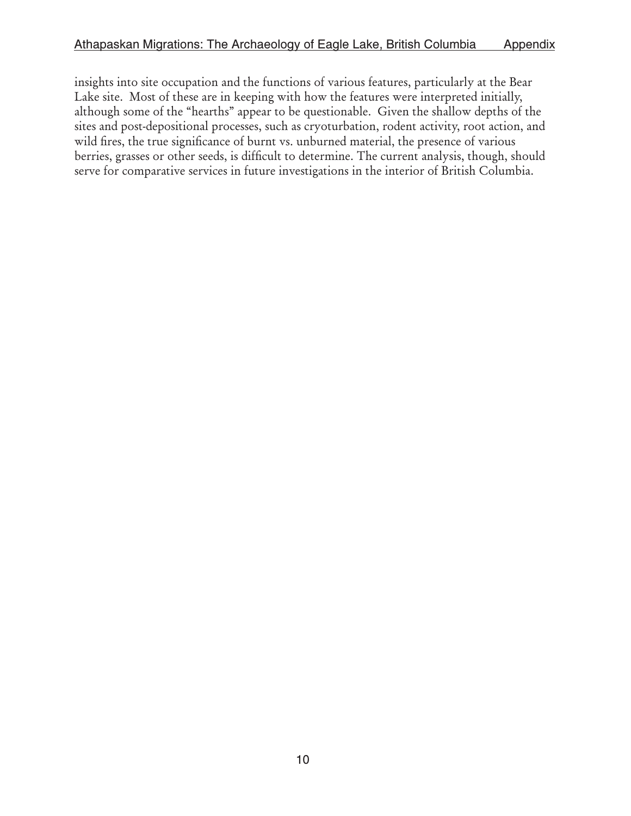insights into site occupation and the functions of various features, particularly at the Bear Lake site. Most of these are in keeping with how the features were interpreted initially, although some of the "hearths" appear to be questionable. Given the shallow depths of the sites and post-depositional processes, such as cryoturbation, rodent activity, root action, and wild fires, the true significance of burnt vs. unburned material, the presence of various berries, grasses or other seeds, is difficult to determine. The current analysis, though, should serve for comparative services in future investigations in the interior of British Columbia.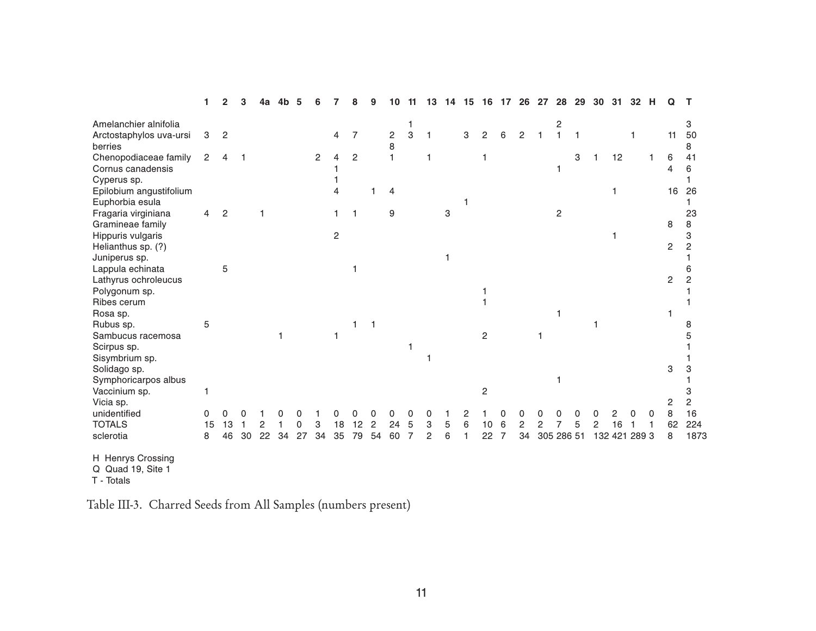|                                        |    | 2              |    |    |    |    |                |    |                |                |                |   |   |   |   |                |   | 26             | 27 | 28             | 29 | 30 | 31      | 32   |                |         |
|----------------------------------------|----|----------------|----|----|----|----|----------------|----|----------------|----------------|----------------|---|---|---|---|----------------|---|----------------|----|----------------|----|----|---------|------|----------------|---------|
| Amelanchier alnifolia                  |    |                |    |    |    |    |                |    |                |                |                |   |   |   |   |                |   |                |    | 2              |    |    |         |      |                | 3       |
| Arctostaphylos uva-ursi                | 3  | $\overline{c}$ |    |    |    |    |                | 4  | 7              |                | $\overline{c}$ | 3 |   |   | 3 | 2              | 6 | $\mathcal{P}$  |    |                |    |    |         |      | 11             | 50      |
| berries<br>Chenopodiaceae family       | 2  |                |    |    |    |    | $\overline{2}$ | 4  | $\overline{c}$ |                | 8              |   |   |   |   |                |   |                |    |                | 3  |    | 12      |      | 6              | 8<br>41 |
| Cornus canadensis                      |    |                |    |    |    |    |                |    |                |                |                |   |   |   |   |                |   |                |    |                |    |    |         |      | $\overline{4}$ | 6       |
| Cyperus sp.                            |    |                |    |    |    |    |                |    |                |                |                |   |   |   |   |                |   |                |    |                |    |    |         |      |                |         |
| Epilobium angustifolium                |    |                |    |    |    |    |                |    |                |                | 4              |   |   |   |   |                |   |                |    |                |    |    |         |      | 16             | 26      |
| Euphorbia esula<br>Fragaria virginiana | 4  | 2              |    |    |    |    |                |    |                |                | 9              |   |   | 3 |   |                |   |                |    | $\overline{c}$ |    |    |         |      |                | 23      |
| Gramineae family                       |    |                |    |    |    |    |                |    |                |                |                |   |   |   |   |                |   |                |    |                |    |    |         |      | 8              | 8       |
| Hippuris vulgaris                      |    |                |    |    |    |    |                | 2  |                |                |                |   |   |   |   |                |   |                |    |                |    |    |         |      |                | 3       |
| Helianthus sp. (?)<br>Juniperus sp.    |    |                |    |    |    |    |                |    |                |                |                |   |   |   |   |                |   |                |    |                |    |    |         |      | $\overline{2}$ | 2       |
| Lappula echinata                       |    | 5              |    |    |    |    |                |    |                |                |                |   |   |   |   |                |   |                |    |                |    |    |         |      |                |         |
| Lathyrus ochroleucus                   |    |                |    |    |    |    |                |    |                |                |                |   |   |   |   |                |   |                |    |                |    |    |         |      | $\overline{c}$ |         |
| Polygonum sp.                          |    |                |    |    |    |    |                |    |                |                |                |   |   |   |   |                |   |                |    |                |    |    |         |      |                |         |
| Ribes cerum<br>Rosa sp.                |    |                |    |    |    |    |                |    |                |                |                |   |   |   |   |                |   |                |    |                |    |    |         |      |                |         |
| Rubus sp.                              | 5  |                |    |    |    |    |                |    |                |                |                |   |   |   |   |                |   |                |    |                |    |    |         |      |                |         |
| Sambucus racemosa                      |    |                |    |    |    |    |                |    |                |                |                |   |   |   |   | 2              |   |                |    |                |    |    |         |      |                |         |
| Scirpus sp.<br>Sisymbrium sp.          |    |                |    |    |    |    |                |    |                |                |                |   |   |   |   |                |   |                |    |                |    |    |         |      |                |         |
| Solidago sp.                           |    |                |    |    |    |    |                |    |                |                |                |   |   |   |   |                |   |                |    |                |    |    |         |      | 3              |         |
| Symphoricarpos albus                   |    |                |    |    |    |    |                |    |                |                |                |   |   |   |   |                |   |                |    |                |    |    |         |      |                |         |
| Vaccinium sp.<br>Vicia sp.             |    |                |    |    |    |    |                |    |                |                |                |   |   |   |   | $\overline{2}$ |   |                |    |                |    |    |         |      | 2              | 2       |
| unidentified                           | 0  | ი              | 0  |    |    |    |                |    |                |                | ი              |   |   |   | 2 |                |   |                |    |                |    |    |         |      | 8              | 16      |
| <b>TOTALS</b>                          | 15 | 13             |    | 2  |    | 0  | 3              | 18 | 12             | $\overline{2}$ | 24             | 5 | 3 | 5 | 6 | 10             | 6 | $\overline{2}$ | 2  |                |    | 2  |         |      | 62             | 224     |
| sclerotia                              | 8  | 46             | 30 | 22 | 34 | 27 | 34             | 35 | 79             | 54             | 60             |   | 2 | 6 |   | 22             | 7 | 34             |    | 305 286 51     |    |    | 132 421 | 2893 | 8              | 1873    |

H Henrys Crossing Q Quad 19, Site 1 T - Totals

Table III-3. Charred Seeds from All Samples (numbers present)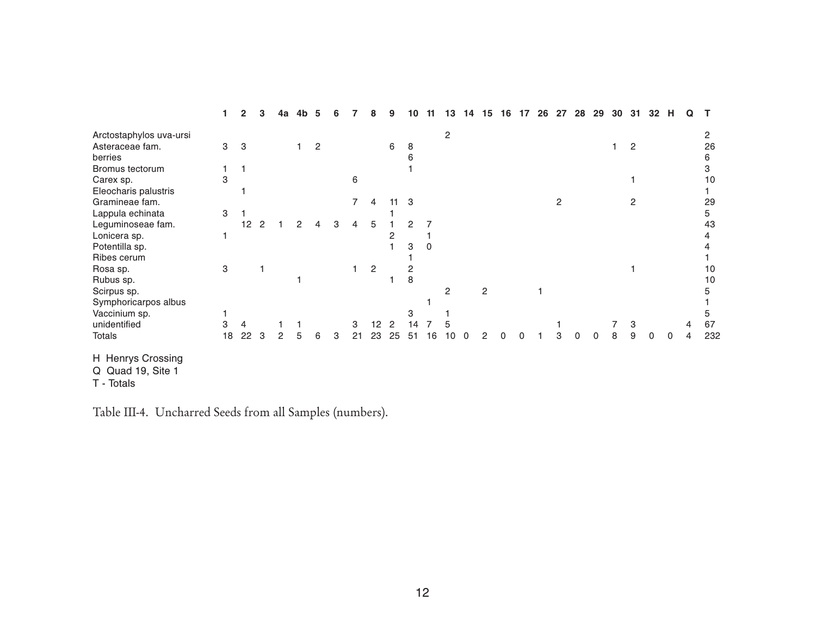|                         |    | 2  |   | 4a | 4b | 5 |   |    |                | g              | 10 | 13         | 14 | 15 | 16 |   | 26 | 27 | 28 | 29 | 30 | 31             | 32       | н        | Q |     |
|-------------------------|----|----|---|----|----|---|---|----|----------------|----------------|----|------------|----|----|----|---|----|----|----|----|----|----------------|----------|----------|---|-----|
| Arctostaphylos uva-ursi |    |    |   |    |    |   |   |    |                |                |    | $\sqrt{2}$ |    |    |    |   |    |    |    |    |    |                |          |          |   | 2   |
| Asteraceae fam.         | 3  | 3  |   |    |    | 2 |   |    |                | 6              | 8  |            |    |    |    |   |    |    |    |    |    | 2              |          |          |   | 26  |
| berries                 |    |    |   |    |    |   |   |    |                |                | 6  |            |    |    |    |   |    |    |    |    |    |                |          |          |   | 6   |
| Bromus tectorum         |    |    |   |    |    |   |   |    |                |                |    |            |    |    |    |   |    |    |    |    |    |                |          |          |   | 3   |
| Carex sp.               | 3  |    |   |    |    |   |   | 6  |                |                |    |            |    |    |    |   |    |    |    |    |    |                |          |          |   | 10  |
| Eleocharis palustris    |    |    |   |    |    |   |   |    |                |                |    |            |    |    |    |   |    |    |    |    |    |                |          |          |   |     |
| Gramineae fam.          |    |    |   |    |    |   |   | 7  | 4              | 11             | 3  |            |    |    |    |   |    | 2  |    |    |    | $\overline{c}$ |          |          |   | 29  |
| Lappula echinata        | 3  |    |   |    |    |   |   |    |                |                |    |            |    |    |    |   |    |    |    |    |    |                |          |          |   | 5   |
| Leguminoseae fam.       |    | 12 |   |    |    |   | 3 | 4  | 5              |                | 2  |            |    |    |    |   |    |    |    |    |    |                |          |          |   | 43  |
| Lonicera sp.            |    |    |   |    |    |   |   |    |                | 2              |    |            |    |    |    |   |    |    |    |    |    |                |          |          |   | 4   |
| Potentilla sp.          |    |    |   |    |    |   |   |    |                |                | 3  |            |    |    |    |   |    |    |    |    |    |                |          |          |   |     |
| Ribes cerum             |    |    |   |    |    |   |   |    |                |                |    |            |    |    |    |   |    |    |    |    |    |                |          |          |   |     |
| Rosa sp.                | 3  |    |   |    |    |   |   |    | $\overline{2}$ |                | 2  |            |    |    |    |   |    |    |    |    |    |                |          |          |   | 10  |
| Rubus sp.               |    |    |   |    |    |   |   |    |                |                | 8  |            |    |    |    |   |    |    |    |    |    |                |          |          |   | 10  |
| Scirpus sp.             |    |    |   |    |    |   |   |    |                |                |    | 2          |    | 2  |    |   |    |    |    |    |    |                |          |          |   | 5   |
| Symphoricarpos albus    |    |    |   |    |    |   |   |    |                |                |    |            |    |    |    |   |    |    |    |    |    |                |          |          |   |     |
| Vaccinium sp.           |    |    |   |    |    |   |   |    |                |                | 3  |            |    |    |    |   |    |    |    |    |    |                |          |          |   | 5   |
| unidentified            | 3  | 4  |   |    |    |   |   | 3  | 12             | $\overline{2}$ | 14 | 5          |    |    |    |   |    |    |    |    |    | 3              |          |          | 4 | 67  |
| <b>Totals</b>           | 18 | 22 | 3 | 2  |    | 6 | 3 | 21 | 23             | 25             | 51 | 10         | ∩  |    |    | U |    | з  |    | 0  | 8  | 9              | $\Omega$ | $\Omega$ | 4 | 232 |
| H Henrys Crossing       |    |    |   |    |    |   |   |    |                |                |    |            |    |    |    |   |    |    |    |    |    |                |          |          |   |     |
| Q Quad 19, Site 1       |    |    |   |    |    |   |   |    |                |                |    |            |    |    |    |   |    |    |    |    |    |                |          |          |   |     |
| T - Totals              |    |    |   |    |    |   |   |    |                |                |    |            |    |    |    |   |    |    |    |    |    |                |          |          |   |     |

Table III-4. Uncharred Seeds from all Samples (numbers).